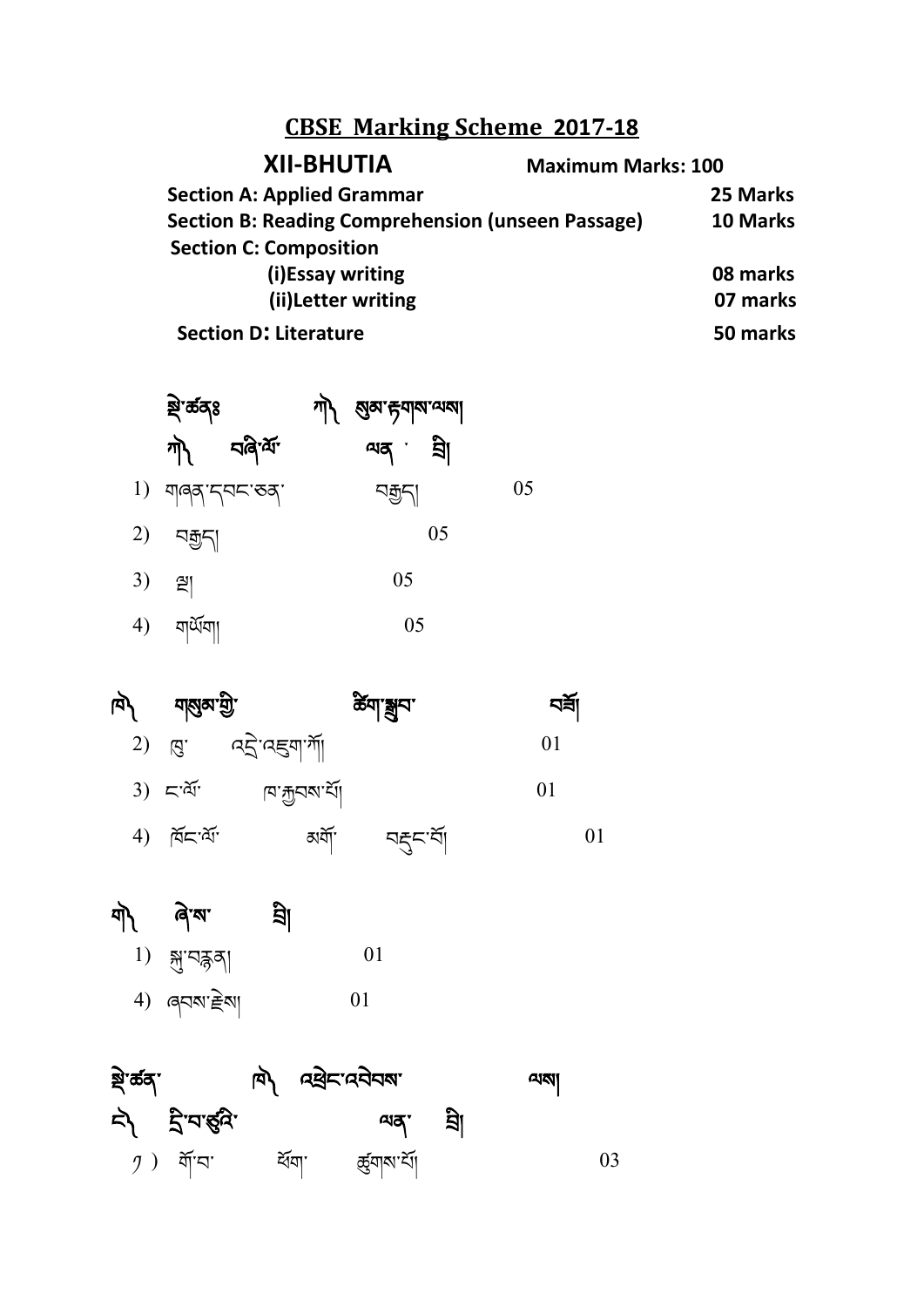## **CBSE Marking Scheme 2017-18**

| <b>XII-BHUTIA</b>                                        | <b>Maximum Marks: 100</b> |  |  |  |
|----------------------------------------------------------|---------------------------|--|--|--|
| <b>Section A: Applied Grammar</b>                        | 25 Marks                  |  |  |  |
| <b>Section B: Reading Comprehension (unseen Passage)</b> | 10 Marks                  |  |  |  |
| <b>Section C: Composition</b>                            |                           |  |  |  |
| (i)Essay writing                                         | 08 marks                  |  |  |  |
| (ii) Letter writing                                      | 07 marks                  |  |  |  |
| <b>Section D: Literature</b>                             | 50 marks                  |  |  |  |

| ষ্ণু <sup>-</sup> ৰ্ক্ৰবৃঃ              | শ্বী ম্ভ্রন্স কুমান্ম বা |    |
|-----------------------------------------|--------------------------|----|
| শী বৰিৰ্শ                               | $arg \frac{1}{2}$        |    |
| $1)$ $\eta$ 1997 $\eta$ 95 $\sigma$ 997 | নন্ <u>ব</u> ুন          | 05 |
| $2)$ নক্কুন্                            | 05                       |    |

- 3) 즫 05
- $4)$   $\sqrt{25}$ 05





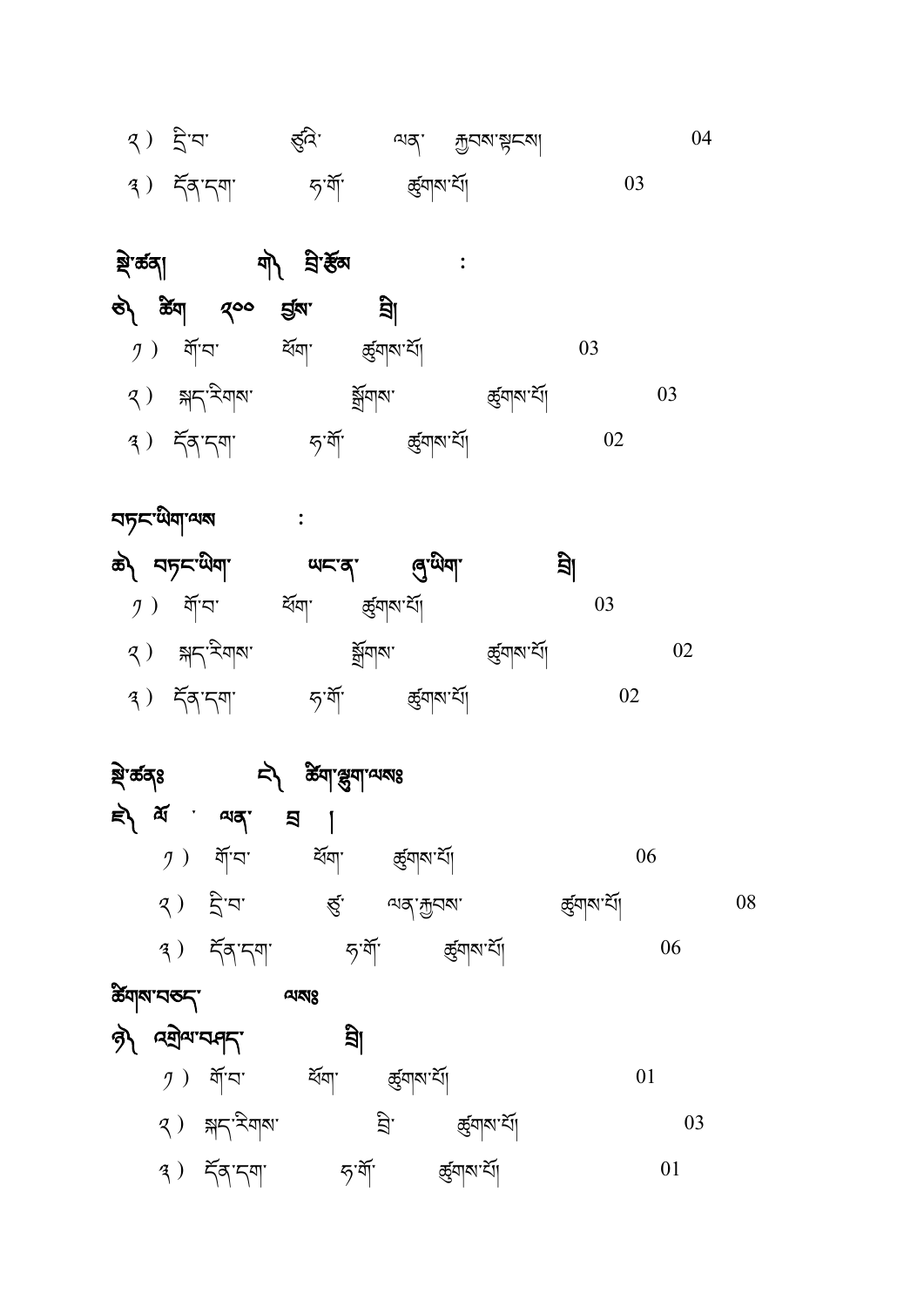| క్తా ఉక్య |                         | $\Rightarrow$                                      | र्क्षया श्रुवा व्य <mark>द्य</mark> 8 |               |                 |                |    |    |
|-----------|-------------------------|----------------------------------------------------|---------------------------------------|---------------|-----------------|----------------|----|----|
|           |                         | $\Rightarrow$ $\pi$ and<br>$\overline{\mathbf{z}}$ |                                       |               |                 |                |    |    |
|           |                         | $9)$ শ্রাম                                         | ৰ্শ্বশা                               | ৰ্ক্তৃশাম শাঁ |                 |                | 06 |    |
|           |                         | $3)$ द्वेष                                         | $\mathfrak{S}^{\mathsf{r}}$           | অন্`শ্ৰুনম'   |                 | ক্ত্ৰ্যাম'ৰ্যা |    | 08 |
|           |                         | $(3)$ $5577$                                       | <i>দ্</i> যশূ                         |               | ক্ত্ৰ্যান্ম শ্ৰ |                | 06 |    |
|           | æ <u>д</u> икарија<br>Ф |                                                    | A                                     |               |                 |                |    |    |
|           |                         | क्री प्रयोगप्राम्                                  | য়ী                                   |               |                 |                |    |    |
|           |                         | $9)$ র্শব'                                         | ৰ্শ্বত্মা                             | ক্ত্ৰ্নাম শাঁ |                 |                | 01 |    |
|           |                         | 2) क्ष< रेणष                                       |                                       | ਮ੍ਰੋ          | জ্ঞাম'ৰ্মা      |                | 03 |    |
|           |                         | $4)$ $59.59$                                       | <i>দৃ</i> `ৰ্শ্                       |               | জ্ঞ্ৰাৰণ্য      |                | 01 |    |

|  | $\mathcal{I}$ ) নীঁঘ                          | ৰ্শ্ৰমা       | ৰ্ন্ত্ৰ্যান <sup>্</sup> ৰ্যা |                |  |
|--|-----------------------------------------------|---------------|-------------------------------|----------------|--|
|  | $\mathcal{R}$ ) $\mathbb{R}^n$ $\mathbb{R}^n$ |               | ৰ্ম্লুবাব্য                   | ক্ত্ৰ্যাম'ৰ্মা |  |
|  |                                               | <i>দ</i> 'ৰ্শ | ৰ্ক্সাম শ্ৰী                  |                |  |

 $\mathbb{\vec{E}}$ 

| रु) क्रूय १०० ईरु            | ह्या                            |                   |    |    |
|------------------------------|---------------------------------|-------------------|----|----|
| $\mathcal{I}$ ) ৰ্মান' ৰ্ষমা | জ্র্মান্ম শ্র্যা                |                   | 03 |    |
| $(3)$ क्षद'रेयाब'            | ৰ্ম্লুনাব্য                     | ৰ্ন্ত্ৰ্যাম শ্ৰ্য |    | 03 |
| $3)$ $55.59$                 | ক্ৰ্ম্ৰনাম শ্ৰ<br><i>দ</i> , শী |                   |    |    |

| $\mathcal{R}$ ) ব্ৰীষা | ৰ্ত্নি'          | $\frac{1}{2}$ and $\frac{1}{2}$ and $\frac{1}{2}$ and $\frac{1}{2}$ |  |
|------------------------|------------------|---------------------------------------------------------------------|--|
| $(3)$ $55.59$          | <i>দ</i> ্যশ্র্য | জ্ৰ্মান্ম'ৰ্মা                                                      |  |

ষ্ট্ৰ'ৰ্ক্তব্য মাত্ৰ' নীপ ব্ৰ'ৰ্ক্টক স্থা

هم حاکدیهاما هاد های های معنی

বচ্ $\mathsf{C}^\mathsf{c}$ অিম্বান্স অ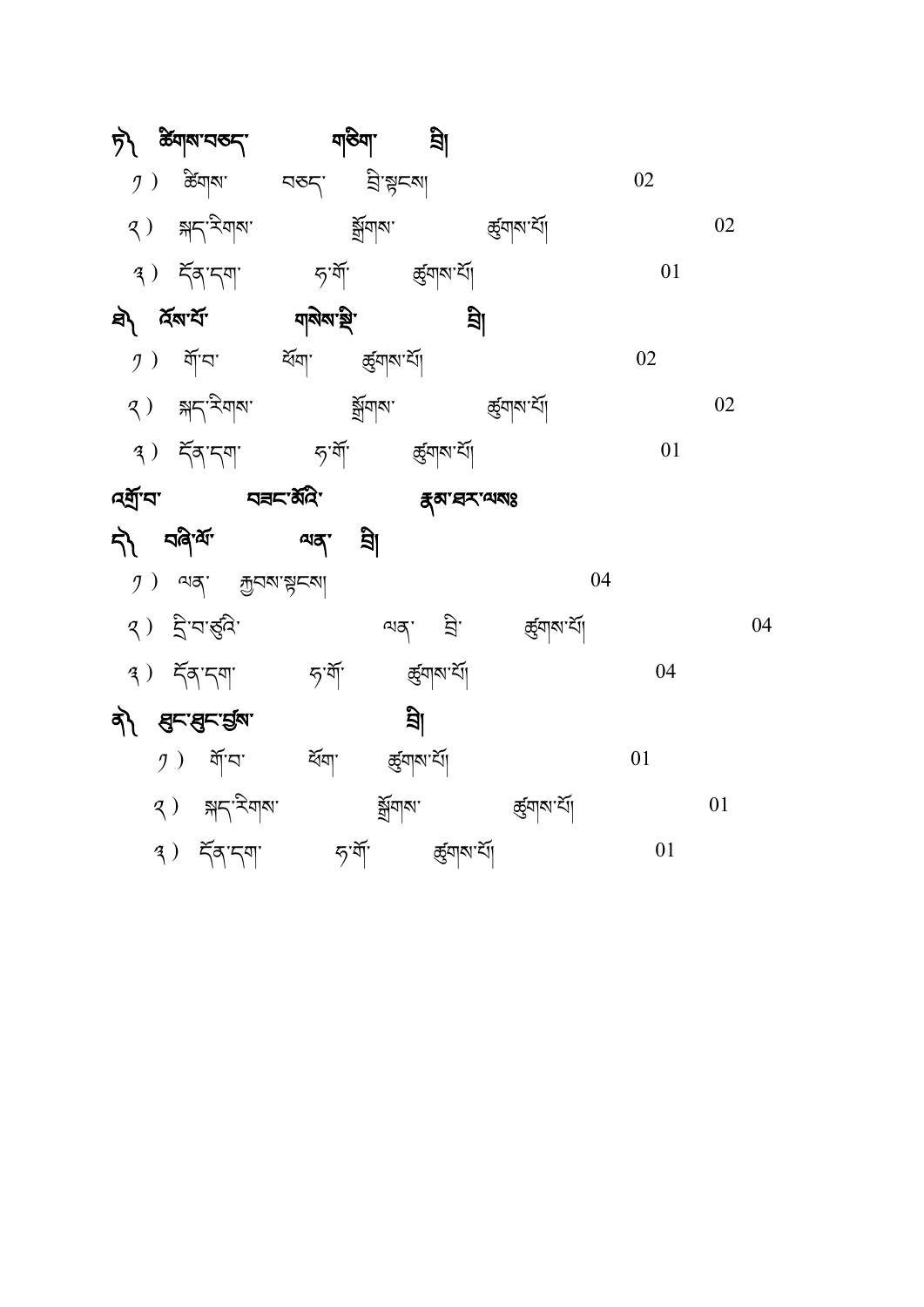| by galaided.                                                                                                                                                                                                                                                                                                                                          | শতিমা হ্রা                   |                            |    |    |
|-------------------------------------------------------------------------------------------------------------------------------------------------------------------------------------------------------------------------------------------------------------------------------------------------------------------------------------------------------|------------------------------|----------------------------|----|----|
| $\mathcal{I}$ ) କ୍ଷିଘ୍ରାଷା ସବ $\zeta$ ' ସ୍ତିଂ ଞ୍ଜାସେ                                                                                                                                                                                                                                                                                                  |                              |                            | 02 |    |
| $(3)$ $\frac{1}{2}$ $\frac{1}{2}$ $\frac{1}{2}$ $\frac{1}{2}$ $\frac{1}{2}$ $\frac{1}{2}$ $\frac{1}{2}$ $\frac{1}{2}$ $\frac{1}{2}$ $\frac{1}{2}$ $\frac{1}{2}$ $\frac{1}{2}$ $\frac{1}{2}$ $\frac{1}{2}$ $\frac{1}{2}$ $\frac{1}{2}$ $\frac{1}{2}$ $\frac{1}{2}$ $\frac{1}{2}$ $\frac{1}{2}$ $\frac{1}{2}$ $\frac{1$                                 | ৰ্ষ্ণুনাৰ্থ ক্ৰ্ন্তিনাৰ ক্ষু |                            |    | 02 |
| $(3)$ $\leq \leq 3$ $\leq$ $\leq 5$ $\leq$ $\leq 4$ $\leq 5$ $\leq 5$ $\leq 5$ $\leq 5$                                                                                                                                                                                                                                                               |                              |                            | 01 |    |
| <i>ই</i> ম বিমাৰ্য নাই বিমাৰী সম্ভি                                                                                                                                                                                                                                                                                                                   |                              | শ্ৰী                       |    |    |
| $y$ ) নাঁঘা ধৰ্মণা ৰ্দ্ভ্ৰম্ম'ৰ্মী                                                                                                                                                                                                                                                                                                                    |                              |                            | 02 |    |
| $(3)$ $\frac{1}{2}$ $\frac{1}{2}$ $\frac{1}{2}$ $\frac{1}{2}$ $\frac{1}{2}$ $\frac{1}{2}$ $\frac{1}{2}$ $\frac{1}{2}$ $\frac{1}{2}$ $\frac{1}{2}$ $\frac{1}{2}$ $\frac{1}{2}$ $\frac{1}{2}$ $\frac{1}{2}$ $\frac{1}{2}$ $\frac{1}{2}$ $\frac{1}{2}$ $\frac{1}{2}$ $\frac{1}{2}$ $\frac{1}{2}$ $\frac{1}{2}$ $\frac{1$                                 | ৰ্ষ্ণুনাৰ্মা ৰ্ছনাৰ'ৰ্যা     |                            |    | 02 |
| $(3)$ $5\frac{1}{3}$ $5\frac{1}{3}$ $5\frac{1}{3}$ $3\frac{1}{3}$ $3\frac{1}{3}$ $3\frac{1}{3}$                                                                                                                                                                                                                                                       |                              |                            | 01 |    |
| <b>Aৰ্ম্ৰ'ন' নিমৰ বিদ্যালয়</b>                                                                                                                                                                                                                                                                                                                       | <i>হ্</i> ম'ঘশম্মেঃ          |                            |    |    |
| र्ने वर्षेज्ञ. जब ज्ञ                                                                                                                                                                                                                                                                                                                                 |                              |                            |    |    |
| $\mathcal{I}$ ) and $\mathcal{I}$ $\mathcal{I}$ $\mathcal{I}$ $\mathcal{I}$ $\mathcal{I}$ $\mathcal{I}$ $\mathcal{I}$ $\mathcal{I}$ $\mathcal{I}$ $\mathcal{I}$ $\mathcal{I}$ $\mathcal{I}$ $\mathcal{I}$ $\mathcal{I}$ $\mathcal{I}$ $\mathcal{I}$ $\mathcal{I}$ $\mathcal{I}$ $\mathcal{I}$ $\mathcal{I}$ $\mathcal{I}$ $\mathcal{I}$ $\mathcal{I}$ |                              | 04                         |    |    |
| $\mathcal{R}$ ) द्वीपार्डुदि                                                                                                                                                                                                                                                                                                                          |                              | ন্মৰ্ম হ্ৰী ৰ্জ্ঞ্ৰাম'ৰ্মা |    | 04 |
| <i>দ্</i> যশি<br>$(3)$ $5577$                                                                                                                                                                                                                                                                                                                         | ক্ৰ্যানম্য                   |                            | 04 |    |
| वी हुन्दुन्डुंब                                                                                                                                                                                                                                                                                                                                       | <u>है।</u>                   |                            |    |    |
| <i>ງ</i> ) শ্রাঁঘা ব্রন্থা র্ন্ড্র্যামার্যা                                                                                                                                                                                                                                                                                                           |                              |                            | 01 |    |
| 2) क्ष< रेण<                                                                                                                                                                                                                                                                                                                                          | ৰ্ষ্মশাৰ্মা                  | ক্ত্ৰ্বিমাৰ্শ্ৰ            |    | 01 |
| $(3)$ $55.59$                                                                                                                                                                                                                                                                                                                                         | দ্য মাঁ ৰ্জ্ঞ্ৰাৰ যাঁ        |                            | 01 |    |